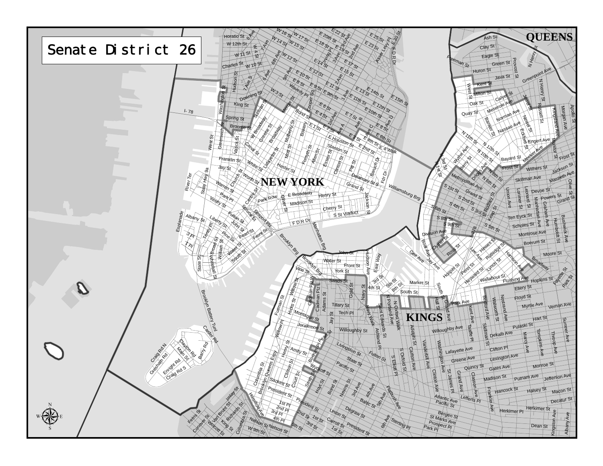